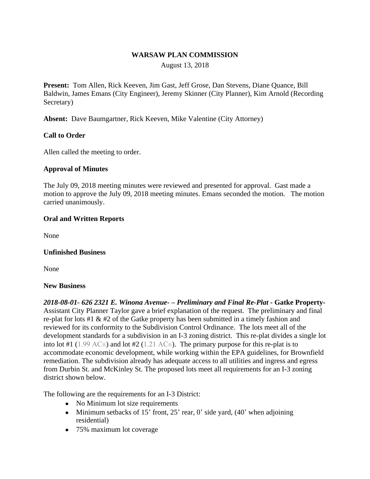## **WARSAW PLAN COMMISSION**

August 13, 2018

**Present:** Tom Allen, Rick Keeven, Jim Gast, Jeff Grose, Dan Stevens, Diane Quance, Bill Baldwin, James Emans (City Engineer), Jeremy Skinner (City Planner), Kim Arnold (Recording Secretary)

**Absent:** Dave Baumgartner, Rick Keeven, Mike Valentine (City Attorney)

# **Call to Order**

Allen called the meeting to order.

### **Approval of Minutes**

The July 09, 2018 meeting minutes were reviewed and presented for approval. Gast made a motion to approve the July 09, 2018 meeting minutes. Emans seconded the motion. The motion carried unanimously.

### **Oral and Written Reports**

None

### **Unfinished Business**

None

### **New Business**

*2018-08-01- 626 2321 E. Winona Avenue- – Preliminary and Final Re-Plat -* **Gatke Property-**Assistant City Planner Taylor gave a brief explanation of the request. The preliminary and final re-plat for lots #1 & #2 of the Gatke property has been submitted in a timely fashion and reviewed for its conformity to the Subdivision Control Ordinance. The lots meet all of the development standards for a subdivision in an I-3 zoning district. This re-plat divides a single lot into lot #1 (1.99 AC $\pm$ ) and lot #2 (1.21 AC $\pm$ ). The primary purpose for this re-plat is to accommodate economic development, while working within the EPA guidelines, for Brownfield remediation. The subdivision already has adequate access to all utilities and ingress and egress from Durbin St. and McKinley St. The proposed lots meet all requirements for an I-3 zoning district shown below.

The following are the requirements for an I-3 District:

- No Minimum lot size requirements
- Minimum setbacks of 15' front, 25' rear, 0' side yard,  $(40)$ ' when adjoining residential)
- 75% maximum lot coverage